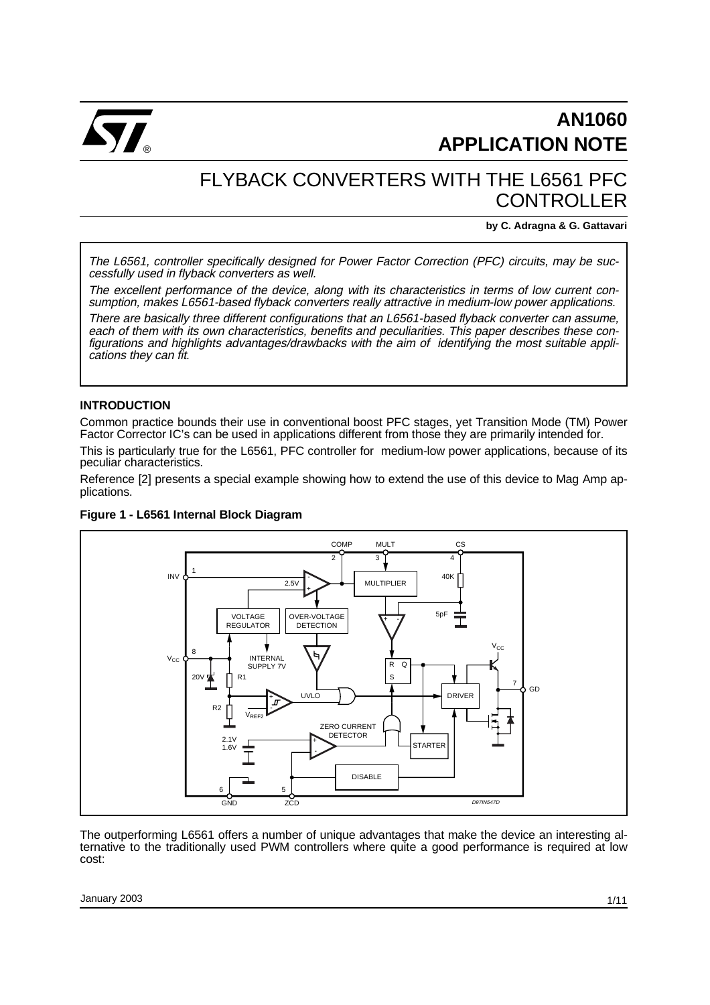

## FLYBACK CONVERTERS WITH THE L6561 PFC CONTROLLER

**by C. Adragna & G. Gattavari**

The L6561, controller specifically designed for Power Factor Correction (PFC) circuits, may be successfully used in flyback converters as well.

The excellent performance of the device, along with its characteristics in terms of low current consumption, makes L6561-based flyback converters really attractive in medium-low power applications.

There are basically three different configurations that an L6561-based flyback converter can assume, each of them with its own characteristics, benefits and peculiarities. This paper describes these configurations and highlights advantages/drawbacks with the aim of identifying the most suitable applications they can fit.

#### **INTRODUCTION**

Common practice bounds their use in conventional boost PFC stages, yet Transition Mode (TM) Power Factor Corrector IC's can be used in applications different from those they are primarily intended for.

This is particularly true for the L6561, PFC controller for medium-low power applications, because of its peculiar characteristics.

Reference [2] presents a special example showing how to extend the use of this device to Mag Amp applications.



**Figure 1 - L6561 Internal Block Diagram**

The outperforming L6561 offers a number of unique advantages that make the device an interesting alternative to the traditionally used PWM controllers where quite a good performance is required at low cost:

January 2003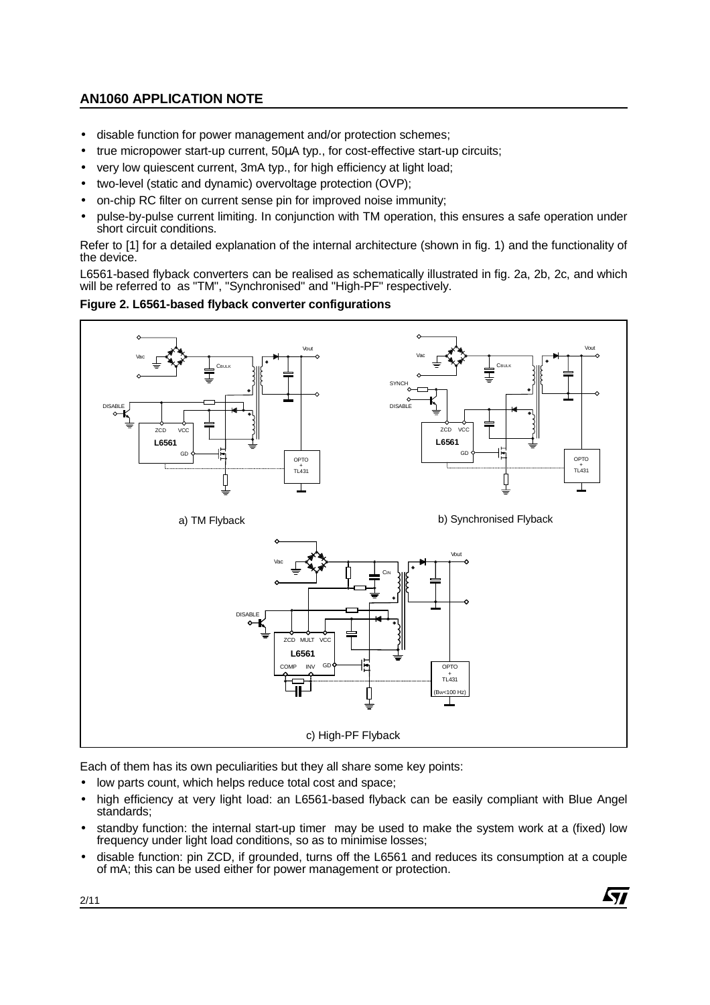- disable function for power management and/or protection schemes;
- true micropower start-up current, 50µA typ., for cost-effective start-up circuits;
- very low quiescent current, 3mA typ., for high efficiency at light load;
- two-level (static and dynamic) overvoltage protection (OVP);
- on-chip RC filter on current sense pin for improved noise immunity;
- pulse-by-pulse current limiting. In conjunction with TM operation, this ensures a safe operation under short circuit conditions.

Refer to [1] for a detailed explanation of the internal architecture (shown in fig. 1) and the functionality of the device.

L6561-based flyback converters can be realised as schematically illustrated in fig. 2a, 2b, 2c, and which will be referred to as "TM", "Synchronised" and "High-PF" respectively.

#### **Figure 2. L6561-based flyback converter configurations**



Each of them has its own peculiarities but they all share some key points:

- low parts count, which helps reduce total cost and space;
- high efficiency at very light load: an L6561-based flyback can be easily compliant with Blue Angel standards;
- standby function: the internal start-up timer may be used to make the system work at a (fixed) low frequency under light load conditions, so as to minimise losses;
- disable function: pin ZCD, if grounded, turns off the L6561 and reduces its consumption at a couple of mA; this can be used either for power management or protection.

47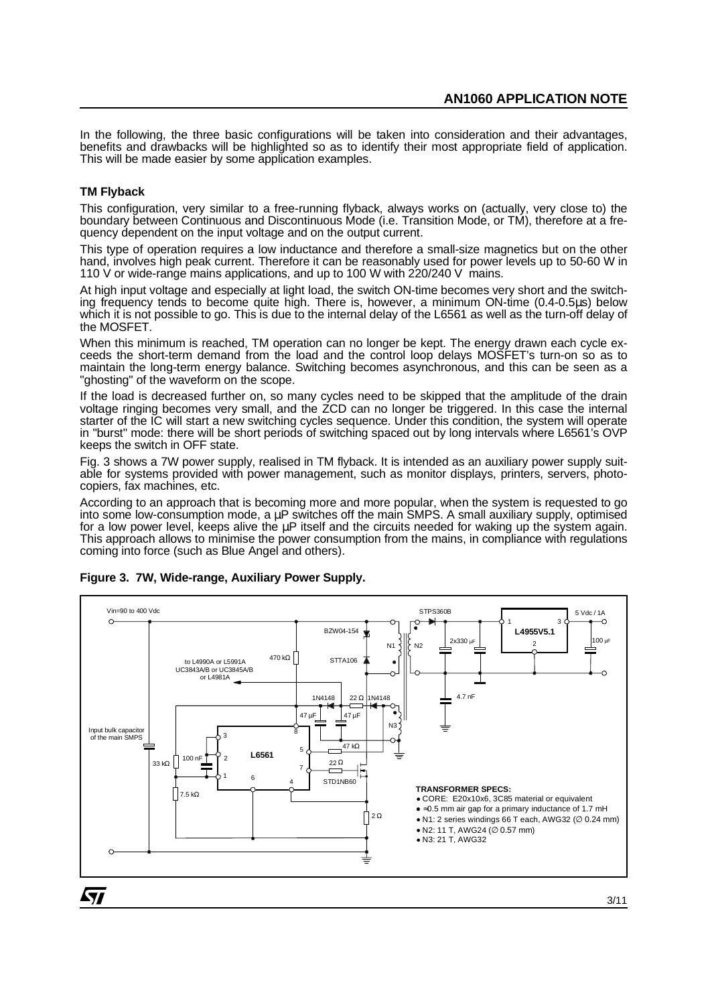In the following, the three basic configurations will be taken into consideration and their advantages, benefits and drawbacks will be highlighted so as to identify their most appropriate field of application. This will be made easier by some application examples.

#### **TM Flyback**

This configuration, very similar to a free-running flyback, always works on (actually, very close to) the boundary between Continuous and Discontinuous Mode (i.e. Transition Mode, or TM), therefore at a frequency dependent on the input voltage and on the output current.

This type of operation requires a low inductance and therefore a small-size magnetics but on the other hand, involves high peak current. Therefore it can be reasonably used for power levels up to 50-60 W in 110 V or wide-range mains applications, and up to 100 W with 220/240 V mains.

At high input voltage and especially at light load, the switch ON-time becomes very short and the switching frequency tends to become quite high. There is, however, a minimum ON-time (0.4-0.5µs) below which it is not possible to go. This is due to the internal delay of the L6561 as well as the turn-off delay of the MOSFET.

When this minimum is reached, TM operation can no longer be kept. The energy drawn each cycle exceeds the short-term demand from the load and the control loop delays MOSFET's turn-on so as to maintain the long-term energy balance. Switching becomes asynchronous, and this can be seen as a "ghosting" of the waveform on the scope.

If the load is decreased further on, so many cycles need to be skipped that the amplitude of the drain voltage ringing becomes very small, and the ZCD can no longer be triggered. In this case the internal starter of the IC will start a new switching cycles sequence. Under this condition, the system will operate in "burst" mode: there will be short periods of switching spaced out by long intervals where L6561's OVP keeps the switch in OFF state.

Fig. 3 shows a 7W power supply, realised in TM flyback. It is intended as an auxiliary power supply suitable for systems provided with power management, such as monitor displays, printers, servers, photocopiers, fax machines, etc.

According to an approach that is becoming more and more popular, when the system is requested to go into some low-consumption mode, a  $\mu$ P switches off the main SMPS. A small auxiliary supply, optimised for a low power level, keeps alive the  $\mu$ P itself and the circuits needed for waking up the system again. This approach allows to minimise the power consumption from the mains, in compliance with regulations coming into force (such as Blue Angel and others).



#### **Figure 3. 7W, Wide-range, Auxiliary Power Supply.**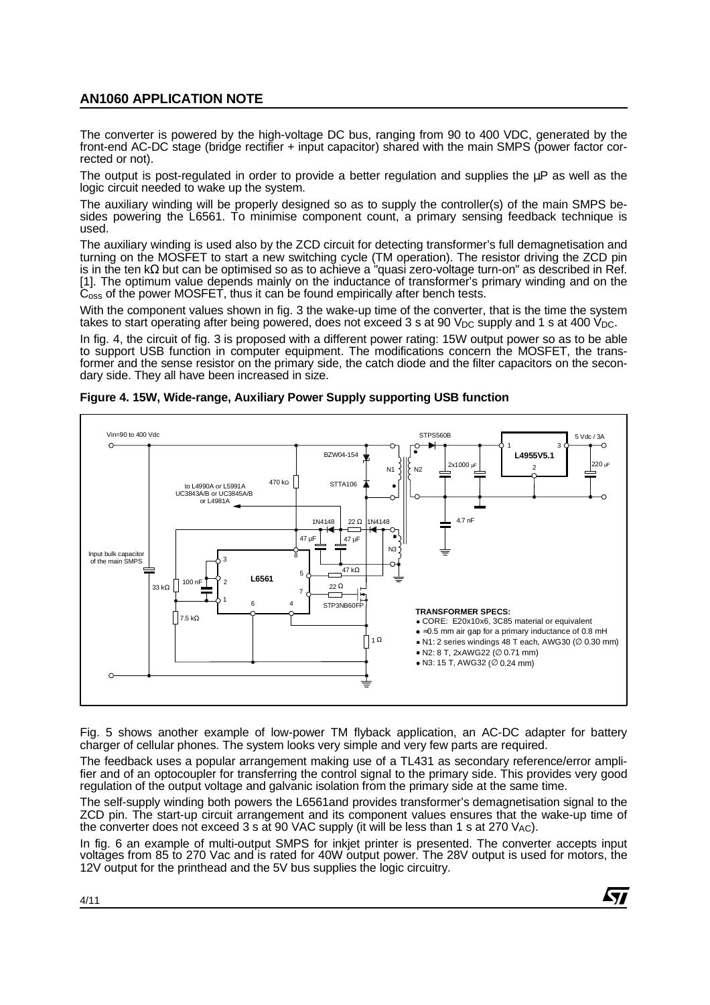The converter is powered by the high-voltage DC bus, ranging from 90 to 400 VDC, generated by the front-end AC-DC stage (bridge rectifier + input capacitor) shared with the main SMPS (power factor corrected or not).

The output is post-regulated in order to provide a better regulation and supplies the  $\mu$ P as well as the logic circuit needed to wake up the system.

The auxiliary winding will be properly designed so as to supply the controller(s) of the main SMPS besides powering the L6561. To minimise component count, a primary sensing feedback technique is used.

The auxiliary winding is used also by the ZCD circuit for detecting transformer's full demagnetisation and turning on the MOSFET to start a new switching cycle (TM operation). The resistor driving the ZCD pin is in the ten kΩ but can be optimised so as to achieve a "quasi zero-voltage turn-on" as described in Ref. [1]. The optimum value depends mainly on the inductance of transformer's primary winding and on the C<sub>oss</sub> of the power MOSFET, thus it can be found empirically after bench tests.

With the component values shown in fig. 3 the wake-up time of the converter, that is the time the system takes to start operating after being powered, does not exceed 3 s at 90  $V_{DC}$  supply and 1 s at 400  $V_{DC}$ .

In fig. 4, the circuit of fig. 3 is proposed with a different power rating: 15W output power so as to be able to support USB function in computer equipment. The modifications concern the MOSFET, the transformer and the sense resistor on the primary side, the catch diode and the filter capacitors on the secondary side. They all have been increased in size.



**Figure 4. 15W, Wide-range, Auxiliary Power Supply supporting USB function**

Fig. 5 shows another example of low-power TM flyback application, an AC-DC adapter for battery charger of cellular phones. The system looks very simple and very few parts are required.

The feedback uses a popular arrangement making use of a TL431 as secondary reference/error amplifier and of an optocoupler for transferring the control signal to the primary side. This provides very good regulation of the output voltage and galvanic isolation from the primary side at the same time.

The self-supply winding both powers the L6561and provides transformer's demagnetisation signal to the ZCD pin. The start-up circuit arrangement and its component values ensures that the wake-up time of the converter does not exceed 3 s at 90 VAC supply (it will be less than 1 s at 270 VAC).

In fig. 6 an example of multi-output SMPS for inkjet printer is presented. The converter accepts input voltages from 85 to 270 Vac and is rated for 40W output power. The 28V output is used for motors, the 12V output for the printhead and the 5V bus supplies the logic circuitry.

47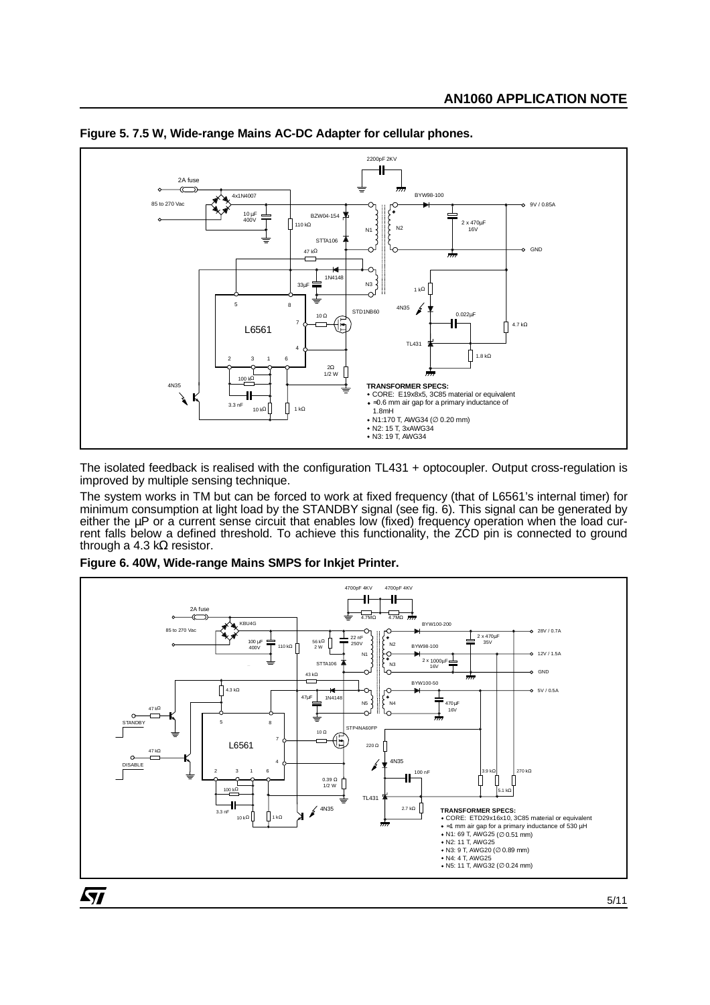

#### **Figure 5. 7.5 W, Wide-range Mains AC-DC Adapter for cellular phones.**

The isolated feedback is realised with the configuration TL431 + optocoupler. Output cross-regulation is improved by multiple sensing technique.

The system works in TM but can be forced to work at fixed frequency (that of L6561's internal timer) for minimum consumption at light load by the STANDBY signal (see fig. 6). This signal can be generated by either the µP or a current sense circuit that enables low (fixed) frequency operation when the load current falls below a defined threshold. To achieve this functionality, the ZCD pin is connected to ground through a 4.3 k $\Omega$  resistor.

**Figure 6. 40W, Wide-range Mains SMPS for Inkjet Printer.**



5/11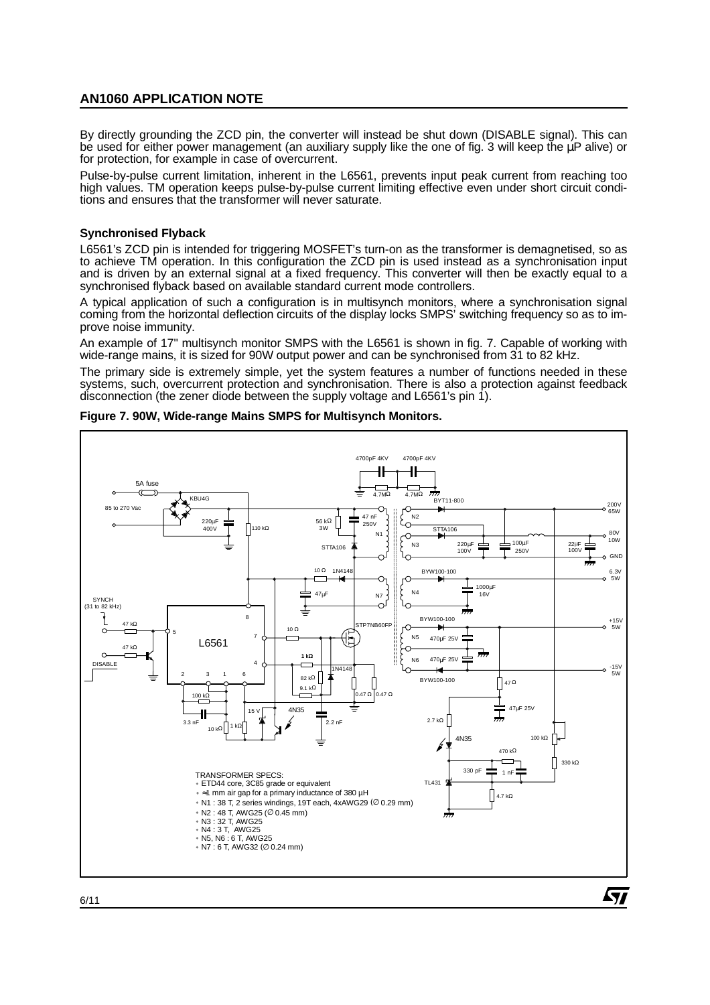By directly grounding the ZCD pin, the converter will instead be shut down (DISABLE signal). This can be used for either power management (an auxiliary supply like the one of fig. 3 will keep the uP alive) or for protection, for example in case of overcurrent.

Pulse-by-pulse current limitation, inherent in the L6561, prevents input peak current from reaching too high values. TM operation keeps pulse-by-pulse current limiting effective even under short circuit conditions and ensures that the transformer will never saturate.

#### **Synchronised Flyback**

L6561's ZCD pin is intended for triggering MOSFET's turn-on as the transformer is demagnetised, so as to achieve TM operation. In this configuration the ZCD pin is used instead as a synchronisation input and is driven by an external signal at a fixed frequency. This converter will then be exactly equal to a synchronised flyback based on available standard current mode controllers.

A typical application of such a configuration is in multisynch monitors, where a synchronisation signal coming from the horizontal deflection circuits of the display locks SMPS' switching frequency so as to improve noise immunity.

An example of 17" multisynch monitor SMPS with the L6561 is shown in fig. 7. Capable of working with wide-range mains, it is sized for 90W output power and can be synchronised from 31 to 82 kHz.

The primary side is extremely simple, yet the system features a number of functions needed in these systems, such, overcurrent protection and synchronisation. There is also a protection against feedback disconnection (the zener diode between the supply voltage and L6561's pin 1).



**Figure 7. 90W, Wide-range Mains SMPS for Multisynch Monitors.**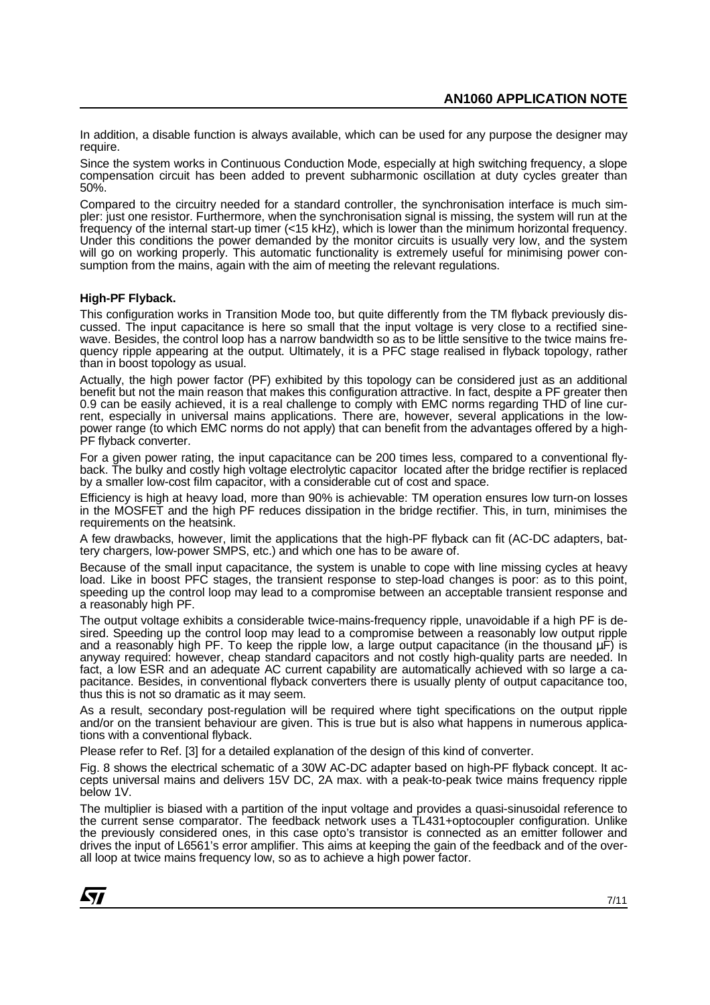In addition, a disable function is always available, which can be used for any purpose the designer may require.

Since the system works in Continuous Conduction Mode, especially at high switching frequency, a slope compensation circuit has been added to prevent subharmonic oscillation at duty cycles greater than 50%.

Compared to the circuitry needed for a standard controller, the synchronisation interface is much simpler: just one resistor. Furthermore, when the synchronisation signal is missing, the system will run at the frequency of the internal start-up timer (<15 kHz), which is lower than the minimum horizontal frequency. Under this conditions the power demanded by the monitor circuits is usually very low, and the system will go on working properly. This automatic functionality is extremely useful for minimising power consumption from the mains, again with the aim of meeting the relevant regulations.

#### **High-PF Flyback.**

This configuration works in Transition Mode too, but quite differently from the TM flyback previously discussed. The input capacitance is here so small that the input voltage is very close to a rectified sinewave. Besides, the control loop has a narrow bandwidth so as to be little sensitive to the twice mains frequency ripple appearing at the output. Ultimately, it is a PFC stage realised in flyback topology, rather than in boost topology as usual.

Actually, the high power factor (PF) exhibited by this topology can be considered just as an additional benefit but not the main reason that makes this configuration attractive. In fact, despite a PF greater then 0.9 can be easily achieved, it is a real challenge to comply with EMC norms regarding THD of line current, especially in universal mains applications. There are, however, several applications in the lowpower range (to which EMC norms do not apply) that can benefit from the advantages offered by a high-PF flyback converter.

For a given power rating, the input capacitance can be 200 times less, compared to a conventional flyback. The bulky and costly high voltage electrolytic capacitor located after the bridge rectifier is replaced by a smaller low-cost film capacitor, with a considerable cut of cost and space.

Efficiency is high at heavy load, more than 90% is achievable: TM operation ensures low turn-on losses in the MOSFET and the high PF reduces dissipation in the bridge rectifier. This, in turn, minimises the requirements on the heatsink.

A few drawbacks, however, limit the applications that the high-PF flyback can fit (AC-DC adapters, battery chargers, low-power SMPS, etc.) and which one has to be aware of.

Because of the small input capacitance, the system is unable to cope with line missing cycles at heavy load. Like in boost PFC stages, the transient response to step-load changes is poor: as to this point, speeding up the control loop may lead to a compromise between an acceptable transient response and a reasonably high PF.

The output voltage exhibits a considerable twice-mains-frequency ripple, unavoidable if a high PF is desired. Speeding up the control loop may lead to a compromise between a reasonably low output ripple and a reasonably high PF. To keep the ripple low, a large output capacitance (in the thousand  $\mu$ F) is anyway required: however, cheap standard capacitors and not costly high-quality parts are needed. In fact, a low ESR and an adequate AC current capability are automatically achieved with so large a capacitance. Besides, in conventional flyback converters there is usually plenty of output capacitance too, thus this is not so dramatic as it may seem.

As a result, secondary post-regulation will be required where tight specifications on the output ripple and/or on the transient behaviour are given. This is true but is also what happens in numerous applications with a conventional flyback.

Please refer to Ref. [3] for a detailed explanation of the design of this kind of converter.

Fig. 8 shows the electrical schematic of a 30W AC-DC adapter based on high-PF flyback concept. It accepts universal mains and delivers 15V DC, 2A max. with a peak-to-peak twice mains frequency ripple below 1V.

The multiplier is biased with a partition of the input voltage and provides a quasi-sinusoidal reference to the current sense comparator. The feedback network uses a TL431+optocoupler configuration. Unlike the previously considered ones, in this case opto's transistor is connected as an emitter follower and drives the input of L6561's error amplifier. This aims at keeping the gain of the feedback and of the overall loop at twice mains frequency low, so as to achieve a high power factor.

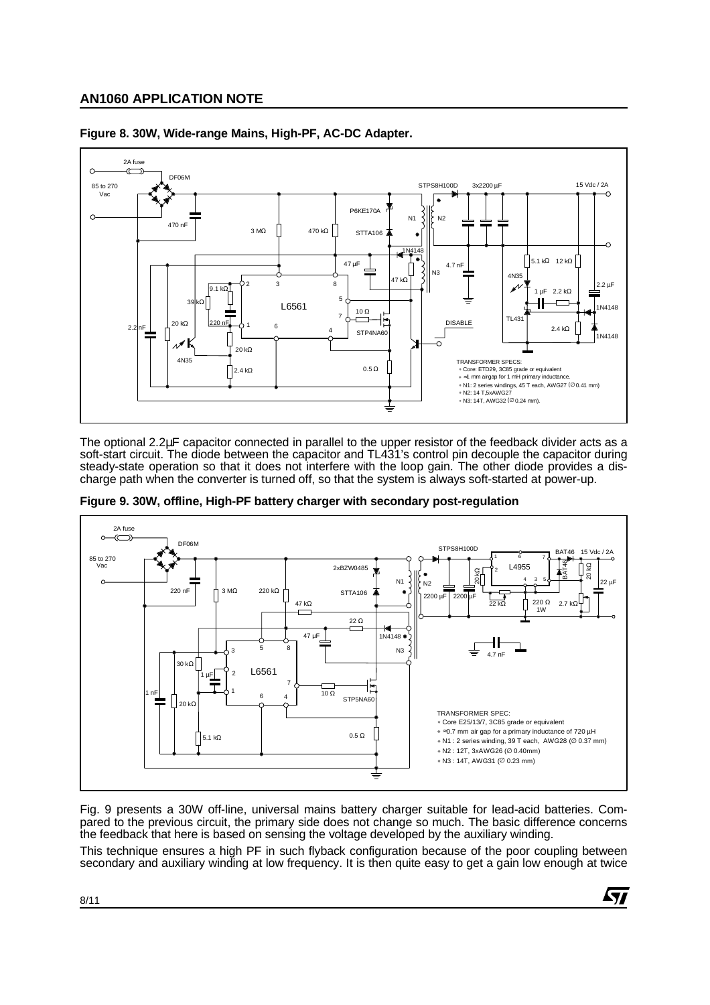

**Figure 8. 30W, Wide-range Mains, High-PF, AC-DC Adapter.**

The optional 2.2µF capacitor connected in parallel to the upper resistor of the feedback divider acts as a soft-start circuit. The diode between the capacitor and TL431's control pin decouple the capacitor during steady-state operation so that it does not interfere with the loop gain. The other diode provides a discharge path when the converter is turned off, so that the system is always soft-started at power-up.



**Figure 9. 30W, offline, High-PF battery charger with secondary post-regulation**

Fig. 9 presents a 30W off-line, universal mains battery charger suitable for lead-acid batteries. Compared to the previous circuit, the primary side does not change so much. The basic difference concerns the feedback that here is based on sensing the voltage developed by the auxiliary winding.

This technique ensures a high PF in such flyback configuration because of the poor coupling between secondary and auxiliary winding at low frequency. It is then quite easy to get a gain low enough at twice

57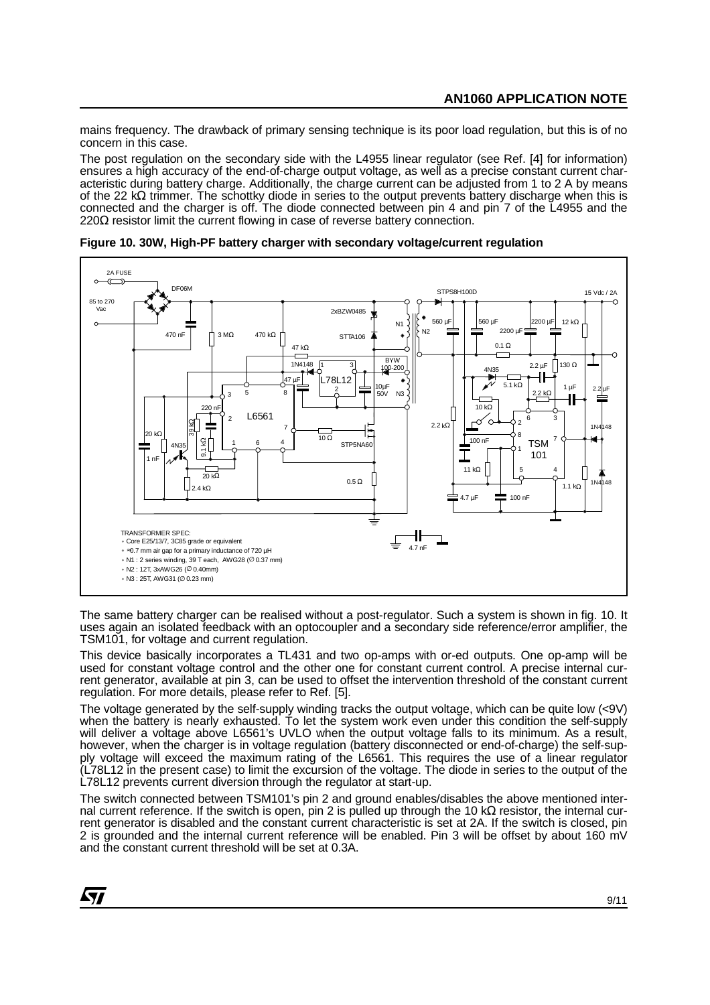mains frequency. The drawback of primary sensing technique is its poor load regulation, but this is of no concern in this case.

The post regulation on the secondary side with the L4955 linear regulator (see Ref. [4] for information) ensures a high accuracy of the end-of-charge output voltage, as well as a precise constant current characteristic during battery charge. Additionally, the charge current can be adjusted from 1 to 2 A by means of the 22 kΩ trimmer. The schottky diode in series to the output prevents battery discharge when this is connected and the charger is off. The diode connected between pin 4 and pin 7 of the L4955 and the  $220Ω$  resistor limit the current flowing in case of reverse battery connection.

2A FUSE DF06M STPS8H100D 15 Vdc / 2A 85 to 270 Vac 2xBZW0485 560  $\mu$ 560 µF N1 12 kΩ 2200 µF N2 470 nF  $\left| \right|$  3 M $\Omega$  470 k $\Omega$  $\ddot{\phantom{1}}$ STTA106  $0.1 \Omega$ 47 kΩ BYW<br>100-200 1N4148 2.2 µF  $130$  Ω 3 1 192 4N35 L78L12 47 µF  $5.1 \text{ k}\Omega$ 10µF ٠ 1 µF 2 2.2 µF 3 5 8 50V  $N<sub>3</sub>$ 2.2 kΩ 10 kΩ  $220n$ L6561  $\overline{2}$  $2^6$  3 6 စ 39 kΩ 2.2 kΩ 1N4148 7 20 kΩ  $\frac{1}{100}$ 8 100 nF 7  $RANSFORMER SPEC:  
\nCore E25/137, 3C85 grade or  
\n-0.7 mm air gap for a primary  
\nN1 : 2 series winding, 39 T each  
\nN3 : 25T, AWS26 (© 0.23 mm)  
\nN3 : 25T, AWS3 (© 0.23 mm)$ 4 STP5NA60 1 6 TSM 4N35 1 I 101 1 nF 11 kΩ 5 4 20 kΩ  $0.5 \Omega$  $1N<sub>4</sub>$  $4 kQ$ 1.1 kΩ 4.7 µF 100 nF TRANSFORMER SPEC: Ηł Core E25/13/7, 3C85 grade or equivalent 4.7 nF ≈0.7 mm air gap for a primary inductance of 720 µH N1 : 2 series winding, 39 T each, AWG28 (∅ 0.37 mm) N2 : 12T, 3xAWG26 (∅ 0.40mm)

**Figure 10. 30W, High-PF battery charger with secondary voltage/current regulation**

The same battery charger can be realised without a post-regulator. Such a system is shown in fig. 10. It uses again an isolated feedback with an optocoupler and a secondary side reference/error amplifier, the TSM101, for voltage and current regulation.

This device basically incorporates a TL431 and two op-amps with or-ed outputs. One op-amp will be used for constant voltage control and the other one for constant current control. A precise internal current generator, available at pin 3, can be used to offset the intervention threshold of the constant current regulation. For more details, please refer to Ref. [5].

The voltage generated by the self-supply winding tracks the output voltage, which can be quite low (<9V) when the battery is nearly exhausted. To let the system work even under this condition the self-supply will deliver a voltage above L6561's UVLO when the output voltage falls to its minimum. As a result, however, when the charger is in voltage regulation (battery disconnected or end-of-charge) the self-supply voltage will exceed the maximum rating of the L6561. This requires the use of a linear regulator (L78L12 in the present case) to limit the excursion of the voltage. The diode in series to the output of the L78L12 prevents current diversion through the regulator at start-up.

The switch connected between TSM101's pin 2 and ground enables/disables the above mentioned internal current reference. If the switch is open, pin 2 is pulled up through the 10 kΩ resistor, the internal current generator is disabled and the constant current characteristic is set at 2A. If the switch is closed, pin 2 is grounded and the internal current reference will be enabled. Pin 3 will be offset by about 160 mV and the constant current threshold will be set at 0.3A.

ky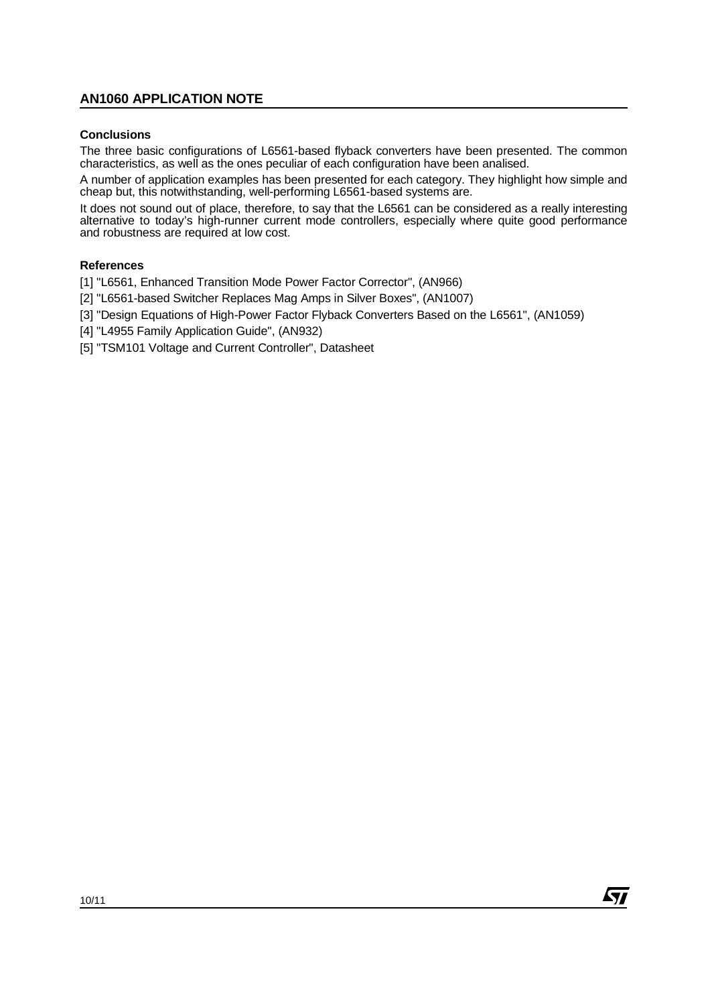#### **Conclusions**

The three basic configurations of L6561-based flyback converters have been presented. The common characteristics, as well as the ones peculiar of each configuration have been analised.

A number of application examples has been presented for each category. They highlight how simple and cheap but, this notwithstanding, well-performing L6561-based systems are.

It does not sound out of place, therefore, to say that the L6561 can be considered as a really interesting alternative to today's high-runner current mode controllers, especially where quite good performance and robustness are required at low cost.

#### **References**

[1] "L6561, Enhanced Transition Mode Power Factor Corrector", (AN966)

- [2] "L6561-based Switcher Replaces Mag Amps in Silver Boxes", (AN1007)
- [3] "Design Equations of High-Power Factor Flyback Converters Based on the L6561", (AN1059)
- [4] "L4955 Family Application Guide", (AN932)
- [5] "TSM101 Voltage and Current Controller", Datasheet